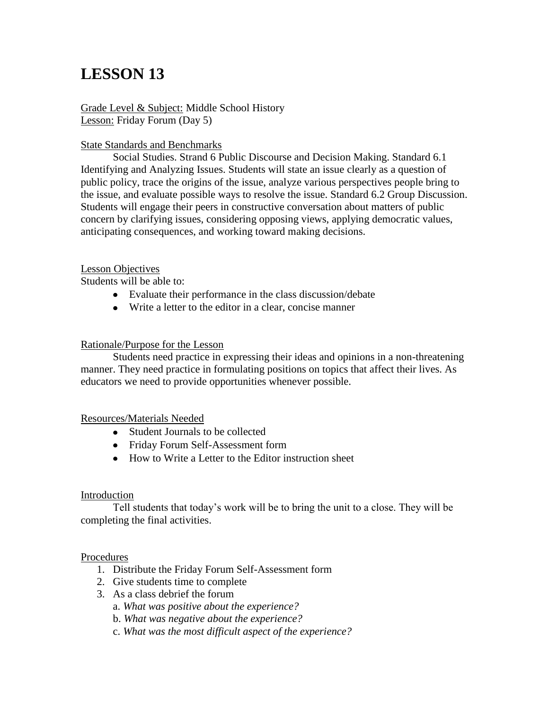# **LESSON 13**

Grade Level & Subject: Middle School History Lesson: Friday Forum (Day 5)

## State Standards and Benchmarks

Social Studies. Strand 6 Public Discourse and Decision Making. Standard 6.1 Identifying and Analyzing Issues. Students will state an issue clearly as a question of public policy, trace the origins of the issue, analyze various perspectives people bring to the issue, and evaluate possible ways to resolve the issue. Standard 6.2 Group Discussion. Students will engage their peers in constructive conversation about matters of public concern by clarifying issues, considering opposing views, applying democratic values, anticipating consequences, and working toward making decisions.

## Lesson Objectives

Students will be able to:

- Evaluate their performance in the class discussion/debate
- Write a letter to the editor in a clear, concise manner

## Rationale/Purpose for the Lesson

Students need practice in expressing their ideas and opinions in a non-threatening manner. They need practice in formulating positions on topics that affect their lives. As educators we need to provide opportunities whenever possible.

#### Resources/Materials Needed

- Student Journals to be collected
- Friday Forum Self-Assessment form
- How to Write a Letter to the Editor instruction sheet

#### Introduction

Tell students that today's work will be to bring the unit to a close. They will be completing the final activities.

#### Procedures

- 1. Distribute the Friday Forum Self-Assessment form
- 2. Give students time to complete
- 3. As a class debrief the forum
	- a. *What was positive about the experience?*
	- b. *What was negative about the experience?*
	- c. *What was the most difficult aspect of the experience?*